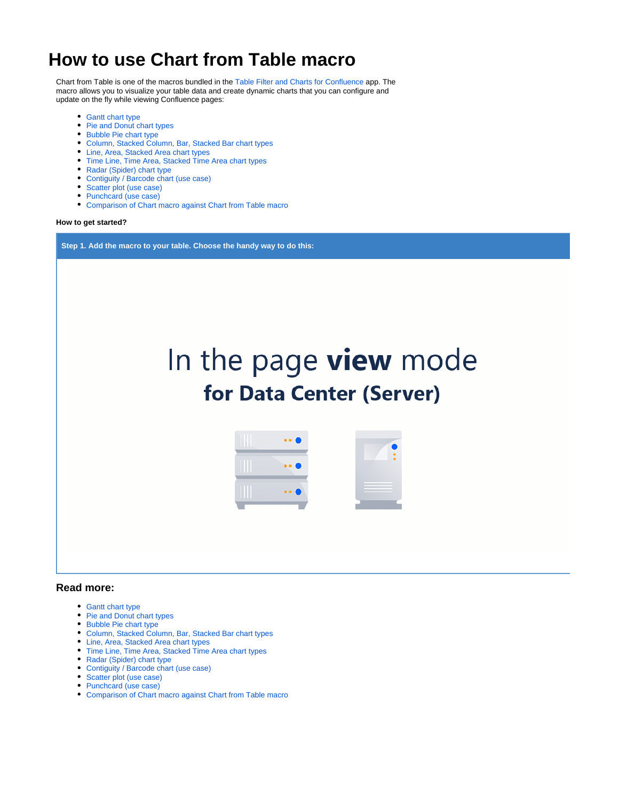# **How to use Chart from Table macro**

Chart from Table is one of the macros bundled in the [Table Filter and Charts for Confluence](https://marketplace.atlassian.com/apps/27447/table-filter-and-charts-for-confluence?hosting=server&tab=overview&from=documentation) app. The macro allows you to visualize your table data and create dynamic charts that you can configure and update on the fly while viewing Confluence pages:

- [Gantt chart type](https://docs.stiltsoft.com/display/TFAC/Gantt+chart+type)
- [Pie and Donut chart types](https://docs.stiltsoft.com/display/TFAC/Pie+and+Donut+chart+types)
- [Bubble Pie chart type](https://docs.stiltsoft.com/display/TFAC/Bubble+Pie+chart+type)
- [Column, Stacked Column, Bar, Stacked Bar chart types](https://docs.stiltsoft.com/display/TFAC/Column%2C+Stacked+Column%2C+Bar%2C+Stacked+Bar+chart+types)
- [Line, Area, Stacked Area chart types](https://docs.stiltsoft.com/display/TFAC/Line%2C+Area%2C+Stacked+Area+chart+types)
- [Time Line, Time Area, Stacked Time Area chart types](https://docs.stiltsoft.com/display/TFAC/Time+Line%2C+Time+Area%2C+Stacked+Time+Area+chart+types)
- [Radar \(Spider\) chart type](https://docs.stiltsoft.com/display/TFAC/Radar+%28Spider%29+chart+type)
- [Contiguity / Barcode chart \(use case\)](https://docs.stiltsoft.com/pages/viewpage.action?pageId=50694577)
- [Scatter plot \(use case\)](https://docs.stiltsoft.com/pages/viewpage.action?pageId=50695741) • [Punchcard \(use case\)](https://docs.stiltsoft.com/pages/viewpage.action?pageId=50695744)
- [Comparison of Chart macro against Chart from Table macro](https://docs.stiltsoft.com/display/TFAC/Comparison+of+Chart+macro+against+Chart+from+Table+macro)

#### **How to get started?**

**Step 1. Add the macro to your table. Choose the handy way to do this:**



#### **Read more:**

- [Gantt chart type](https://docs.stiltsoft.com/display/TFAC/Gantt+chart+type)
- [Pie and Donut chart types](https://docs.stiltsoft.com/display/TFAC/Pie+and+Donut+chart+types)
- [Bubble Pie chart type](https://docs.stiltsoft.com/display/TFAC/Bubble+Pie+chart+type)
- [Column, Stacked Column, Bar, Stacked Bar chart types](https://docs.stiltsoft.com/display/TFAC/Column%2C+Stacked+Column%2C+Bar%2C+Stacked+Bar+chart+types)
- [Line, Area, Stacked Area chart types](https://docs.stiltsoft.com/display/TFAC/Line%2C+Area%2C+Stacked+Area+chart+types)
- [Time Line, Time Area, Stacked Time Area chart types](https://docs.stiltsoft.com/display/TFAC/Time+Line%2C+Time+Area%2C+Stacked+Time+Area+chart+types)
- [Radar \(Spider\) chart type](https://docs.stiltsoft.com/display/TFAC/Radar+%28Spider%29+chart+type)
- [Contiguity / Barcode chart \(use case\)](https://docs.stiltsoft.com/pages/viewpage.action?pageId=50694577)
- [Scatter plot \(use case\)](https://docs.stiltsoft.com/pages/viewpage.action?pageId=50695741)
- [Punchcard \(use case\)](https://docs.stiltsoft.com/pages/viewpage.action?pageId=50695744)
- [Comparison of Chart macro against Chart from Table macro](https://docs.stiltsoft.com/display/TFAC/Comparison+of+Chart+macro+against+Chart+from+Table+macro)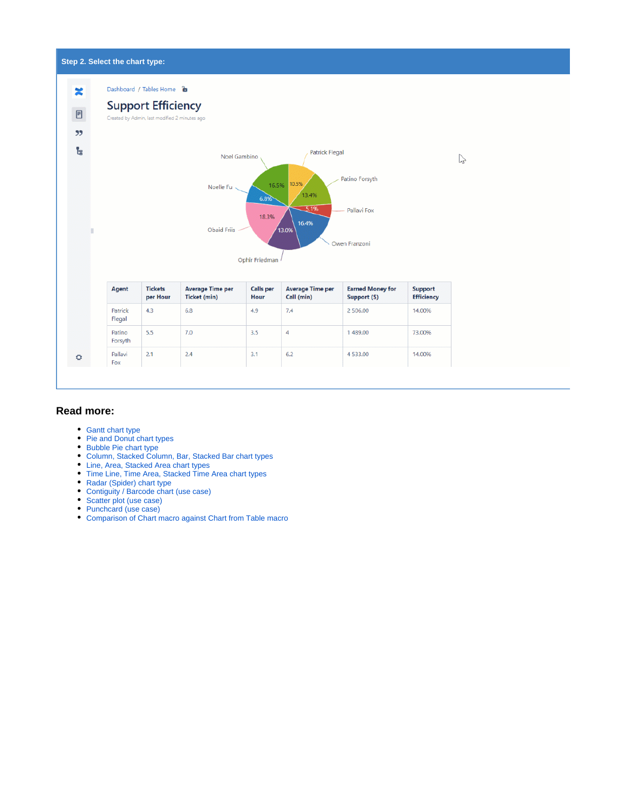#### **Step 2. Select the chart type:** Dashboard / Tables Home **a** × **Support Efficiency**  $\textcolor{black}{\boxminus}$ Created by Admin, last modified 2 minutes ago  $99$ t, **Patrick Flegal** Noel Gambino  $\mathbb{Z}$ Patino Forsyth 16.5% 10.5% Noelle Fu 13.4%  $6.8%$  $-5.19$ Pallavi Fox 18.3% 16.4% Obaid Friis ,<br>13.09 B Owen Franzoni Ophir Friedman Agent **Tickets** Average Time per **Calls** per Average Time per **Earned Money for** Support per Hour Ticket (min) Call (min) Efficiency Hour Support (\$) Patrick  $4.3$  $6.8\,$ 4.9  $7.4$ 2 506.00 14.00% Flegal Patino  $5.5$  $7.0$  $3.5$  $\overline{4}$ 1489.00 73.00% Forsyth Pallavi  $2.1$  $2.4$  $3.1$  $6.2$ 4 5 3 3 .00 14.00% ۰ Fox

### **Read more:**

- [Gantt chart type](https://docs.stiltsoft.com/display/TFAC/Gantt+chart+type)
- [Pie and Donut chart types](https://docs.stiltsoft.com/display/TFAC/Pie+and+Donut+chart+types)
- [Bubble Pie chart type](https://docs.stiltsoft.com/display/TFAC/Bubble+Pie+chart+type)
- [Column, Stacked Column, Bar, Stacked Bar chart types](https://docs.stiltsoft.com/display/TFAC/Column%2C+Stacked+Column%2C+Bar%2C+Stacked+Bar+chart+types)
- [Line, Area, Stacked Area chart types](https://docs.stiltsoft.com/display/TFAC/Line%2C+Area%2C+Stacked+Area+chart+types)
- [Time Line, Time Area, Stacked Time Area chart types](https://docs.stiltsoft.com/display/TFAC/Time+Line%2C+Time+Area%2C+Stacked+Time+Area+chart+types)
- [Radar \(Spider\) chart type](https://docs.stiltsoft.com/display/TFAC/Radar+%28Spider%29+chart+type)
- [Contiguity / Barcode chart \(use case\)](https://docs.stiltsoft.com/pages/viewpage.action?pageId=50694577)
- [Scatter plot \(use case\)](https://docs.stiltsoft.com/pages/viewpage.action?pageId=50695741)
- [Punchcard \(use case\)](https://docs.stiltsoft.com/pages/viewpage.action?pageId=50695744) [Comparison of Chart macro against Chart from Table macro](https://docs.stiltsoft.com/display/TFAC/Comparison+of+Chart+macro+against+Chart+from+Table+macro)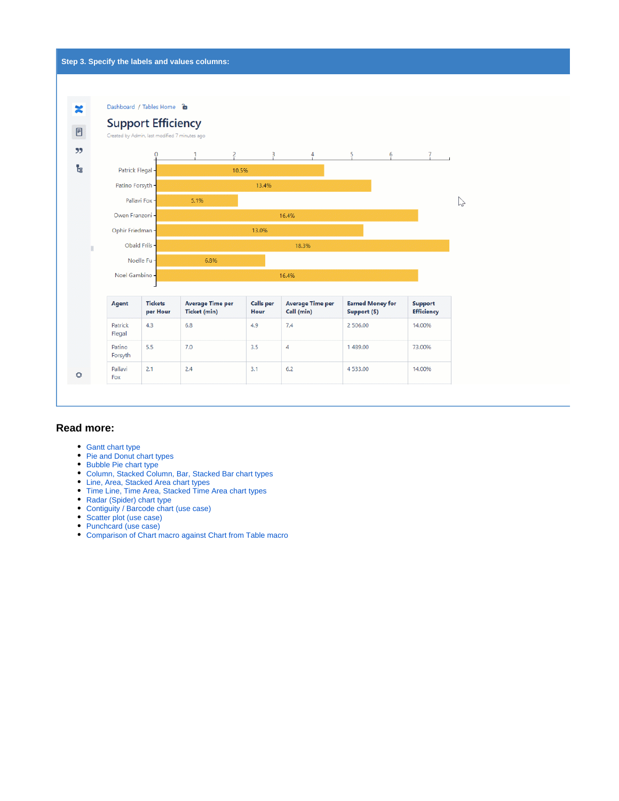

#### **Read more:**

- [Gantt chart type](https://docs.stiltsoft.com/display/TFAC/Gantt+chart+type)
- [Pie and Donut chart types](https://docs.stiltsoft.com/display/TFAC/Pie+and+Donut+chart+types)
- [Bubble Pie chart type](https://docs.stiltsoft.com/display/TFAC/Bubble+Pie+chart+type)
- [Column, Stacked Column, Bar, Stacked Bar chart types](https://docs.stiltsoft.com/display/TFAC/Column%2C+Stacked+Column%2C+Bar%2C+Stacked+Bar+chart+types)
- [Line, Area, Stacked Area chart types](https://docs.stiltsoft.com/display/TFAC/Line%2C+Area%2C+Stacked+Area+chart+types)
- [Time Line, Time Area, Stacked Time Area chart types](https://docs.stiltsoft.com/display/TFAC/Time+Line%2C+Time+Area%2C+Stacked+Time+Area+chart+types)
- [Radar \(Spider\) chart type](https://docs.stiltsoft.com/display/TFAC/Radar+%28Spider%29+chart+type)
- [Contiguity / Barcode chart \(use case\)](https://docs.stiltsoft.com/pages/viewpage.action?pageId=50694577)
- [Scatter plot \(use case\)](https://docs.stiltsoft.com/pages/viewpage.action?pageId=50695741)
- [Punchcard \(use case\)](https://docs.stiltsoft.com/pages/viewpage.action?pageId=50695744)
- [Comparison of Chart macro against Chart from Table macro](https://docs.stiltsoft.com/display/TFAC/Comparison+of+Chart+macro+against+Chart+from+Table+macro)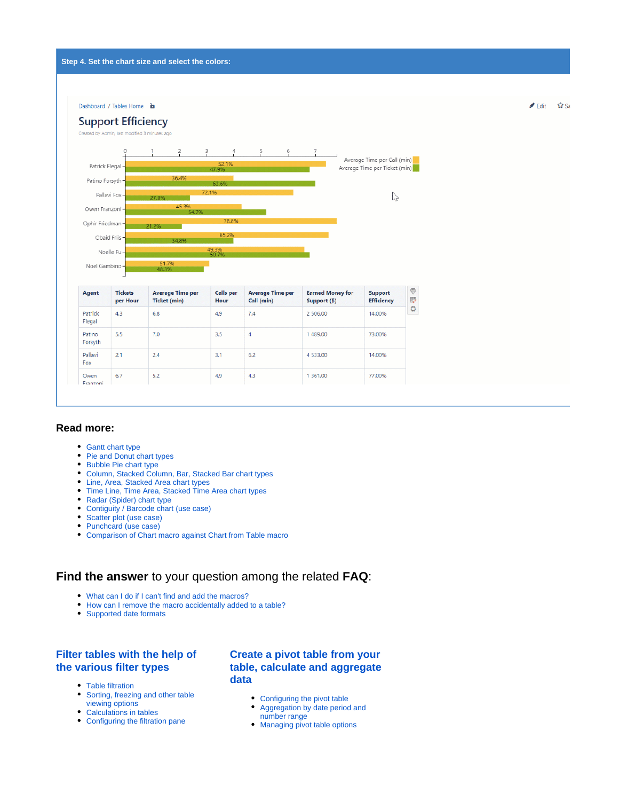

#### **Read more:**

- [Gantt chart type](https://docs.stiltsoft.com/display/TFAC/Gantt+chart+type)
- [Pie and Donut chart types](https://docs.stiltsoft.com/display/TFAC/Pie+and+Donut+chart+types)
- [Bubble Pie chart type](https://docs.stiltsoft.com/display/TFAC/Bubble+Pie+chart+type)
- [Column, Stacked Column, Bar, Stacked Bar chart types](https://docs.stiltsoft.com/display/TFAC/Column%2C+Stacked+Column%2C+Bar%2C+Stacked+Bar+chart+types)
- [Line, Area, Stacked Area chart types](https://docs.stiltsoft.com/display/TFAC/Line%2C+Area%2C+Stacked+Area+chart+types)
- [Time Line, Time Area, Stacked Time Area chart types](https://docs.stiltsoft.com/display/TFAC/Time+Line%2C+Time+Area%2C+Stacked+Time+Area+chart+types)
- [Radar \(Spider\) chart type](https://docs.stiltsoft.com/display/TFAC/Radar+%28Spider%29+chart+type)
- [Contiguity / Barcode chart \(use case\)](https://docs.stiltsoft.com/pages/viewpage.action?pageId=50694577)
- [Scatter plot \(use case\)](https://docs.stiltsoft.com/pages/viewpage.action?pageId=50695741)
- [Punchcard \(use case\)](https://docs.stiltsoft.com/pages/viewpage.action?pageId=50695744)
- [Comparison of Chart macro against Chart from Table macro](https://docs.stiltsoft.com/display/TFAC/Comparison+of+Chart+macro+against+Chart+from+Table+macro)

## **Find the answer** to your question among the related **FAQ**:

- [What can I do if I can't find and add the macros?](https://docs.stiltsoft.com/pages/viewpage.action?pageId=42239861#FAQ-WhatcanIdoifIcan%27tfindandaddthemacros?)
- $\bullet$ [How can I remove the macro accidentally added to a table?](https://docs.stiltsoft.com/pages/viewpage.action?pageId=42239861#FAQ-HowcanIremovethemacroaccidentallyaddedtoatable?)
- [Supported date formats](https://docs.stiltsoft.com/pages/viewpage.action?pageId=42239861#FAQ-Whatarethesupporteddateformats?)

#### **[Filter tables with the help of](https://docs.stiltsoft.com/display/TFAC/How+to+use+Table+Filter+macro)  [the various filter types](https://docs.stiltsoft.com/display/TFAC/How+to+use+Table+Filter+macro)**

- [Table filtration](https://docs.stiltsoft.com/display/TFAC/Table+filtration)
- $\bullet$ [Sorting, freezing and other table](https://docs.stiltsoft.com/display/TFAC/Sorting%2C+freezing+and+other+table+viewing+options)  [viewing options](https://docs.stiltsoft.com/display/TFAC/Sorting%2C+freezing+and+other+table+viewing+options)
- [Calculations in tables](https://docs.stiltsoft.com/display/TFAC/Calculations+in+tables)
- [Configuring the filtration pane](https://docs.stiltsoft.com/display/TFAC/Configuring+the+filtration+pane)

#### **[Create a pivot table from your](https://docs.stiltsoft.com/display/TFAC/How+to+use+Pivot+Table+macro)  [table, calculate and aggregate](https://docs.stiltsoft.com/display/TFAC/How+to+use+Pivot+Table+macro)  [data](https://docs.stiltsoft.com/display/TFAC/How+to+use+Pivot+Table+macro)**

- [Configuring the pivot table](https://docs.stiltsoft.com/display/TFAC/Configuring+the+pivot+table)
- [Aggregation by date period and](https://docs.stiltsoft.com/display/TFAC/Aggregation+by+date+period+and+number+range)  [number range](https://docs.stiltsoft.com/display/TFAC/Aggregation+by+date+period+and+number+range)
- [Managing pivot table options](https://docs.stiltsoft.com/display/TFAC/Managing+pivot+table+options)